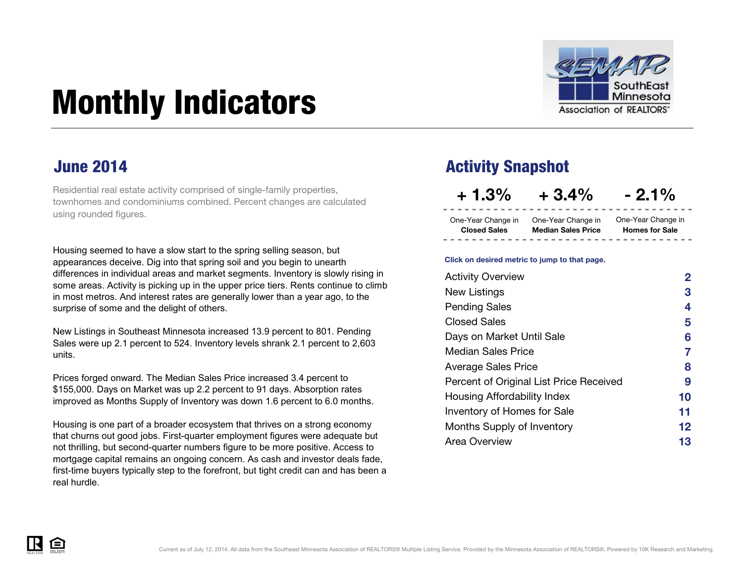

# <span id="page-0-0"></span>Monthly Indicators

Residential real estate activity comprised of single-family properties, townhomes and condominiums combined. Percent changes are calculated using rounded figures.

Housing seemed to have a slow start to the spring selling season, but appearances deceive. Dig into that spring soil and you begin to unearth differences in individual areas and market segments. Inventory is slowly rising in some areas. Activity is picking up in the upper price tiers. Rents continue to climb in most metros. And interest rates are generally lower than a year ago, to the surprise of some and the delight of others.

New Listings in Southeast Minnesota increased 13.9 percent to 801. Pending Sales were up 2.1 percent to 524. Inventory levels shrank 2.1 percent to 2,603 units.

Prices forged onward. The Median Sales Price increased 3.4 percent to \$155,000. Days on Market was up 2.2 percent to 91 days. Absorption rates improved as Months Supply of Inventory was down 1.6 percent to 6.0 months.

Housing is one part of a broader ecosystem that thrives on a strong economy that churns out good jobs. First-quarter employment figures were adequate but not thrilling, but second-quarter numbers figure to be more positive. Access to mortgage capital remains an ongoing concern. As cash and investor deals fade, first-time buyers typically step to the forefront, but tight credit can and has been a real hurdle.

### **June 2014 Activity Snapshot Activity Snapshot**

**+ 1.3% + 3.4% - 2.1%**

One-Year Change in One-Year Change in **Closed Sales Median Sales Price**

**Homes for Sale** One-Year Change in

#### **Click on desired metric to jump to that page.**

| <b>Activity Overview</b>                | 2  |
|-----------------------------------------|----|
| New Listings                            | 3  |
| <b>Pending Sales</b>                    | 4  |
| <b>Closed Sales</b>                     | 5  |
| Days on Market Until Sale               | 6  |
| <b>Median Sales Price</b>               | 7  |
| <b>Average Sales Price</b>              | 8  |
| Percent of Original List Price Received | 9  |
| Housing Affordability Index             | 10 |
| Inventory of Homes for Sale             | 11 |
| Months Supply of Inventory              | 12 |
| Area Overview                           | 13 |

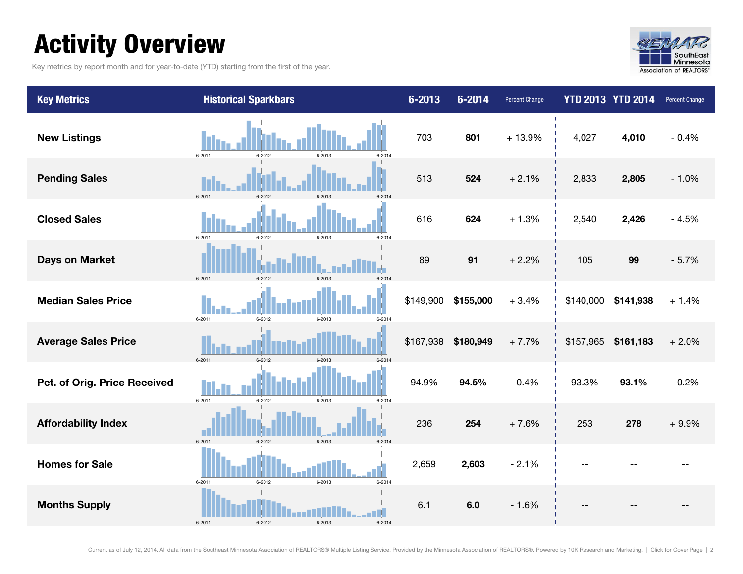### <span id="page-1-0"></span>Activity Overview

Key metrics by report month and for year-to-date (YTD) starting from the first of the year.



| <b>Key Metrics</b>           | <b>Historical Sparkbars</b>                  | $6 - 2013$ | $6 - 2014$ | <b>Percent Change</b> |           | <b>YTD 2013 YTD 2014</b> | Percent Change |
|------------------------------|----------------------------------------------|------------|------------|-----------------------|-----------|--------------------------|----------------|
| <b>New Listings</b>          | $6 - 2011$<br>6-2012<br>6-2013<br>$6 - 2014$ | 703        | 801        | $+13.9%$              | 4,027     | 4,010                    | $-0.4%$        |
| <b>Pending Sales</b>         | $6 - 2011$<br>6-2012<br>6-2013<br>$6 - 2014$ | 513        | 524        | $+2.1%$               | 2,833     | 2,805                    | $-1.0%$        |
| <b>Closed Sales</b>          | $6 - 2011$<br>6-2012<br>6-2013<br>$6 - 2014$ | 616        | 624        | $+1.3%$               | 2,540     | 2,426                    | $-4.5%$        |
| <b>Days on Market</b>        | 6-2012<br>$6 - 2011$<br>6-2013<br>6-2014     | 89         | 91         | $+2.2%$               | 105       | 99                       | $-5.7%$        |
| <b>Median Sales Price</b>    | $6 - 2011$<br>$6 - 2012$<br>6-2013<br>6-2014 | \$149,900  | \$155,000  | $+3.4%$               | \$140,000 | \$141,938                | $+1.4%$        |
| <b>Average Sales Price</b>   | $6 - 2011$<br>6-2012<br>6-2013<br>$6 - 2014$ | \$167,938  | \$180,949  | $+7.7%$               | \$157,965 | \$161,183                | $+2.0%$        |
| Pct. of Orig. Price Received | $6 - 2011$<br>$6 - 2012$<br>6-2013<br>6-2014 | 94.9%      | 94.5%      | $-0.4%$               | 93.3%     | 93.1%                    | $-0.2%$        |
| <b>Affordability Index</b>   | $6 - 2012$<br>6-2013<br>$6 - 2011$<br>6-2014 | 236        | 254        | $+7.6%$               | 253       | 278                      | $+9.9%$        |
| <b>Homes for Sale</b>        | $6 - 2011$<br>6-2012<br>6-2013<br>$6 - 2014$ | 2,659      | 2,603      | $-2.1%$               |           |                          |                |
| <b>Months Supply</b>         | $6 - 2011$<br>6-2012<br>6-2013<br>6-2014     | 6.1        | 6.0        | $-1.6%$               |           |                          |                |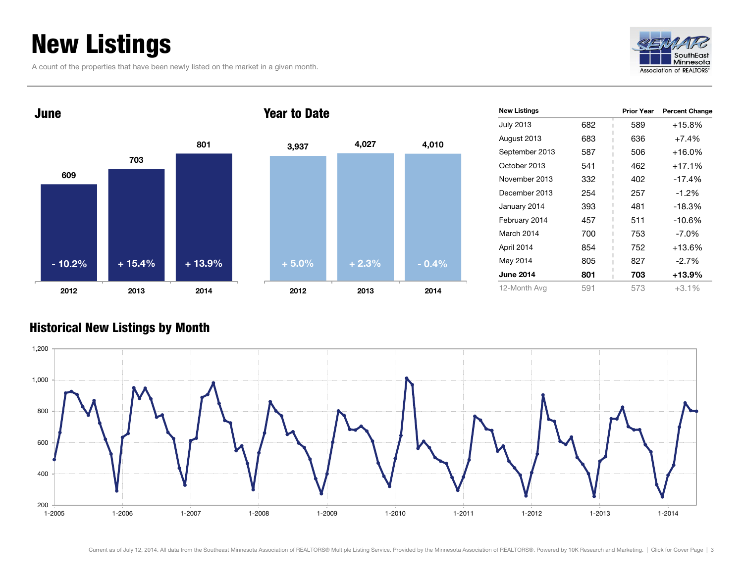### <span id="page-2-0"></span>New Listings

A count of the properties that have been newly listed on the market in a given month.





| <b>New Listings</b> |     | <b>Prior Year</b> | <b>Percent Change</b> |
|---------------------|-----|-------------------|-----------------------|
| <b>July 2013</b>    | 682 | 589               | $+15.8%$              |
| August 2013         | 683 | 636               | $+7.4%$               |
| September 2013      | 587 | 506               | $+16.0%$              |
| October 2013        | 541 | 462               | $+17.1%$              |
| November 2013       | 332 | 402               | $-17.4%$              |
| December 2013       | 254 | 257               | $-1.2%$               |
| January 2014        | 393 | 481               | $-18.3%$              |
| February 2014       | 457 | 511               | $-10.6%$              |
| March 2014          | 700 | 753               | $-7.0\%$              |
| April 2014          | 854 | 752               | $+13.6%$              |
| May 2014            | 805 | 827               | $-2.7%$               |
| <b>June 2014</b>    | 801 | 703               | $+13.9%$              |
| 12-Month Avg        | 591 | 573               | $+3.1%$               |

### Historical New Listings by Month

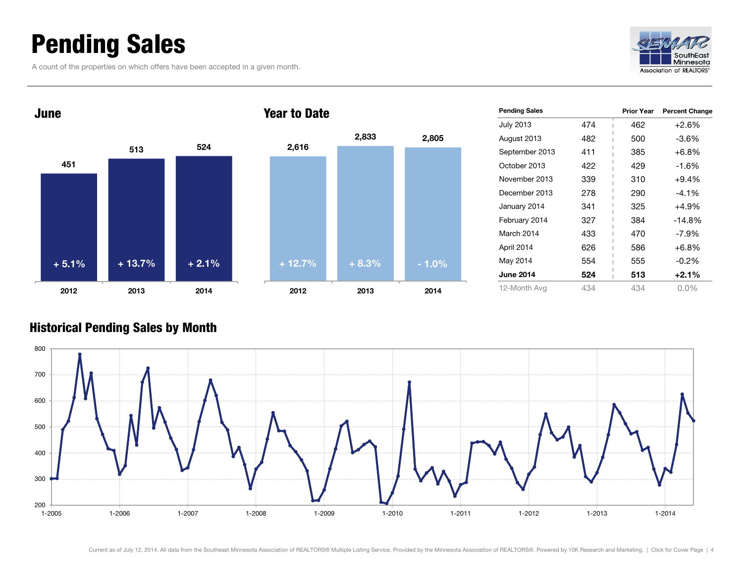### <span id="page-3-0"></span>Pending Sales

A count of the properties on which offers have been accepted in a given month.





| <b>Pending Sales</b> |     | <b>Prior Year</b> | <b>Percent Change</b> |
|----------------------|-----|-------------------|-----------------------|
| <b>July 2013</b>     | 474 | 462               | $+2.6%$               |
| August 2013          | 482 | 500               | -3.6%                 |
| September 2013       | 411 | 385               | $+6.8%$               |
| October 2013         | 422 | 429               | $-1.6%$               |
| November 2013        | 339 | 310               | $+9.4%$               |
| December 2013        | 278 | 290               | $-4.1\%$              |
| January 2014         | 341 | 325               | +4.9%                 |
| February 2014        | 327 | 384               | $-14.8%$              |
| March 2014           | 433 | 470               | -7.9%                 |
| April 2014           | 626 | 586               | $+6.8%$               |
| May 2014             | 554 | 555               | $-0.2\%$              |
| <b>June 2014</b>     | 524 | 513               | $+2.1%$               |
| 12-Month Avg         | 434 | 434               | $0.0\%$               |

#### Historical Pending Sales by Month

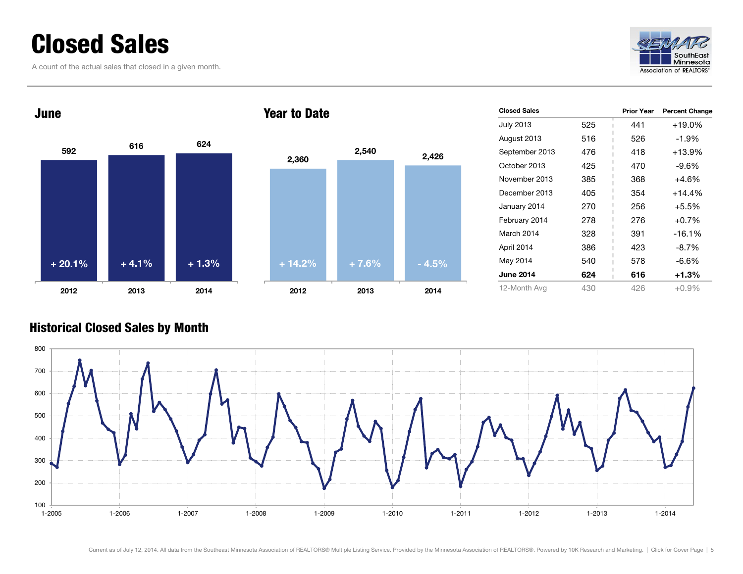### <span id="page-4-0"></span>Closed Sales

A count of the actual sales that closed in a given month.





#### Year to Date



| <b>Closed Sales</b> |     | <b>Prior Year</b> | <b>Percent Change</b> |
|---------------------|-----|-------------------|-----------------------|
| July 2013           | 525 | 441               | $+19.0%$              |
| August 2013         | 516 | 526               | $-1.9%$               |
| September 2013      | 476 | 418               | $+13.9%$              |
| October 2013        | 425 | 470               | $-9.6%$               |
| November 2013       | 385 | 368               | +4.6%                 |
| December 2013       | 405 | 354               | $+14.4%$              |
| January 2014        | 270 | 256               | $+5.5%$               |
| February 2014       | 278 | 276               | $+0.7%$               |
| March 2014          | 328 | 391               | $-16.1%$              |
| April 2014          | 386 | 423               | $-8.7%$               |
| May 2014            | 540 | 578               | $-6.6%$               |
| <b>June 2014</b>    | 624 | 616               | $+1.3%$               |
| 12-Month Avg        | 430 | 426               | $+0.9%$               |

#### Historical Closed Sales by Month

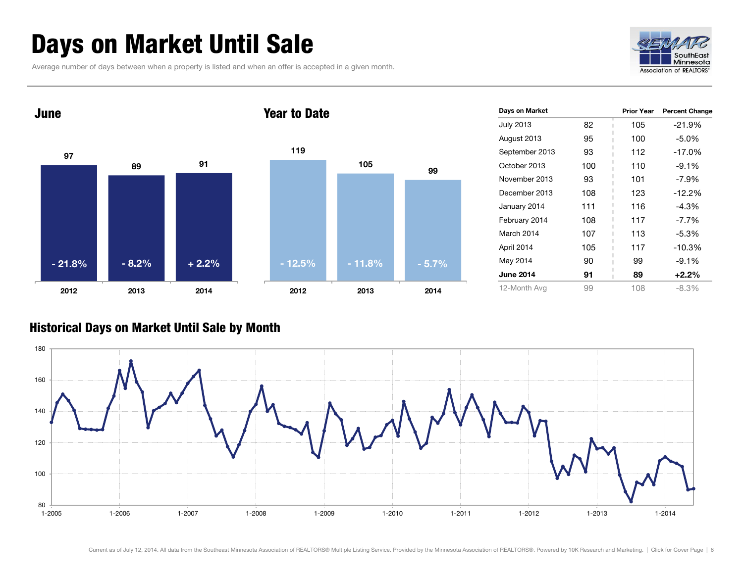### <span id="page-5-0"></span>Days on Market Until Sale

Average number of days between when a property is listed and when an offer is accepted in a given month.





| Days on Market   |     | <b>Prior Year</b> | <b>Percent Change</b> |
|------------------|-----|-------------------|-----------------------|
| <b>July 2013</b> | 82  | 105               | $-21.9%$              |
| August 2013      | 95  | 100               | $-5.0\%$              |
| September 2013   | 93  | 112               | $-17.0%$              |
| October 2013     | 100 | 110               | $-9.1%$               |
| November 2013    | 93  | 101               | $-7.9\%$              |
| December 2013    | 108 | 123               | $-12.2%$              |
| January 2014     | 111 | 116               | $-4.3%$               |
| February 2014    | 108 | 117               | $-7.7\%$              |
| March 2014       | 107 | 113               | $-5.3\%$              |
| April 2014       | 105 | 117               | $-10.3%$              |
| May 2014         | 90  | 99                | $-9.1%$               |
| <b>June 2014</b> | 91  | 89                | $+2.2%$               |
| 12-Month Avg     | 99  | 108               | $-8.3%$               |

#### Historical Days on Market Until Sale by Month

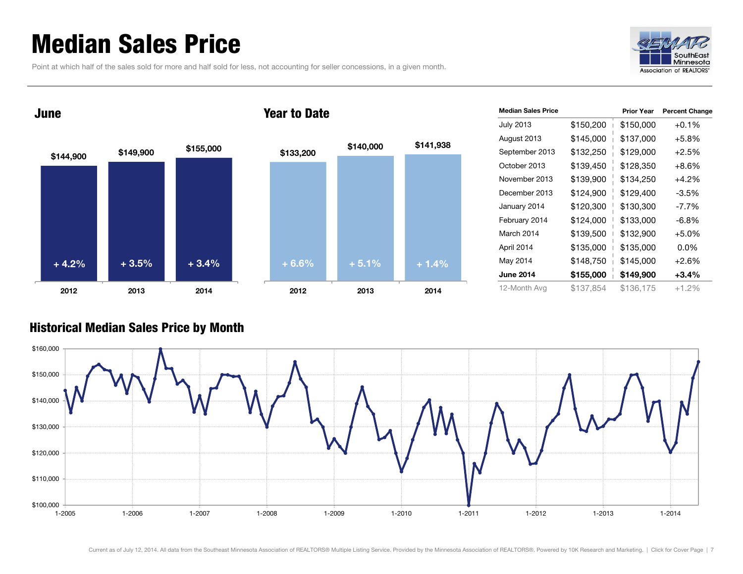### <span id="page-6-0"></span>Median Sales Price

|  | Point at which half of the sales sold for more and half sold for less, not accounting for seller concessions, in a given month. |
|--|---------------------------------------------------------------------------------------------------------------------------------|
|  |                                                                                                                                 |



**\$144,900 \$149,900 \$155,000 2012 2013 2014** June **\$133,200 \$140,000 \$141,938 2012 2013 2014** Year to Date **+ 4.2% + 3.5% + 3.4% + 6.6% + 5.1% + 1.4%**

| <b>Median Sales Price</b> |           | <b>Prior Year</b> | <b>Percent Change</b> |
|---------------------------|-----------|-------------------|-----------------------|
| <b>July 2013</b>          | \$150,200 | \$150,000         | $+0.1%$               |
| August 2013               | \$145,000 | \$137,000         | $+5.8%$               |
| September 2013            | \$132,250 | \$129,000         | $+2.5%$               |
| October 2013              | \$139,450 | \$128,350         | $+8.6\%$              |
| November 2013             | \$139,900 | \$134,250         | $+4.2%$               |
| December 2013             | \$124,900 | \$129,400         | $-3.5%$               |
| January 2014              | \$120,300 | \$130,300         | $-7.7\%$              |
| February 2014             | \$124,000 | \$133,000         | $-6.8\%$              |
| March 2014                | \$139,500 | \$132,900         | $+5.0%$               |
| April 2014                | \$135,000 | \$135,000         | $0.0\%$               |
| May 2014                  | \$148,750 | \$145,000         | $+2.6%$               |
| <b>June 2014</b>          | \$155,000 | \$149,900         | $+3.4\%$              |
| 12-Month Avg              | \$137,854 | \$136,175         | $+1.2%$               |

#### Historical Median Sales Price by Month

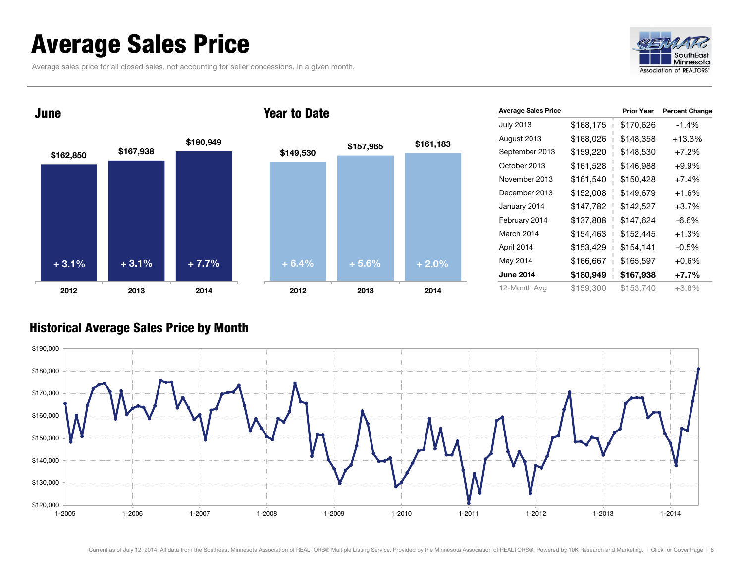### <span id="page-7-0"></span>Average Sales Price

Average sales price for all closed sales, not accounting for seller concessions, in a given month.





| <b>Average Sales Price</b> |           | <b>Prior Year</b> | <b>Percent Change</b> |
|----------------------------|-----------|-------------------|-----------------------|
| <b>July 2013</b>           | \$168,175 | \$170,626         | $-1.4%$               |
| August 2013                | \$168,026 | \$148,358         | $+13.3%$              |
| September 2013             | \$159,220 | \$148,530         | $+7.2%$               |
| October 2013               | \$161,528 | \$146,988         | $+9.9%$               |
| November 2013              | \$161,540 | \$150,428         | $+7.4%$               |
| December 2013              | \$152,008 | \$149,679         | $+1.6%$               |
| January 2014               | \$147,782 | \$142,527         | $+3.7%$               |
| February 2014              | \$137,808 | \$147,624         | -6.6%                 |
| March 2014                 | \$154,463 | \$152,445         | $+1.3%$               |
| April 2014                 | \$153,429 | \$154,141         | $-0.5\%$              |
| May 2014                   | \$166,667 | \$165,597         | $+0.6%$               |
| <b>June 2014</b>           | \$180,949 | \$167,938         | $+7.7%$               |
| 12-Month Avg               | \$159,300 | \$153.740         | +3.6%                 |

#### Historical Average Sales Price by Month

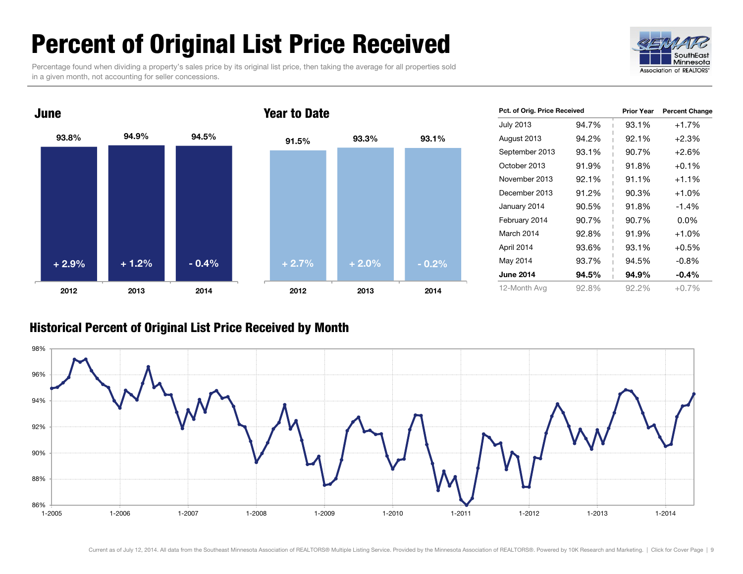### <span id="page-8-0"></span>Percent of Original List Price Received

Percentage found when dividing a property's sales price by its original list price, then taking the average for all properties sold in a given month, not accounting for seller concessions.





| Pct. of Orig. Price Received |       | <b>Prior Year</b> | <b>Percent Change</b> |
|------------------------------|-------|-------------------|-----------------------|
| <b>July 2013</b>             | 94.7% | 93.1%<br>T        | $+1.7%$               |
| August 2013                  | 94.2% | 92.1%             | $+2.3%$               |
| September 2013               | 93.1% | 90.7%             | $+2.6%$               |
| October 2013                 | 91.9% | 91.8%             | $+0.1%$               |
| November 2013                | 92.1% | 91.1%             | $+1.1\%$              |
| December 2013                | 91.2% | 90.3%             | $+1.0%$               |
| January 2014                 | 90.5% | 91.8%             | $-1.4%$               |
| February 2014                | 90.7% | 90.7%             | $0.0\%$               |
| March 2014                   | 92.8% | 91.9%             | $+1.0%$               |
| April 2014                   | 93.6% | 93.1%             | $+0.5%$               |
| May 2014                     | 93.7% | 94.5%             | $-0.8\%$              |
| <b>June 2014</b>             | 94.5% | 94.9%             | $-0.4\%$              |
| 12-Month Avg                 | 92.8% | 92.2%             | $+0.7%$               |

#### Historical Percent of Original List Price Received by Month

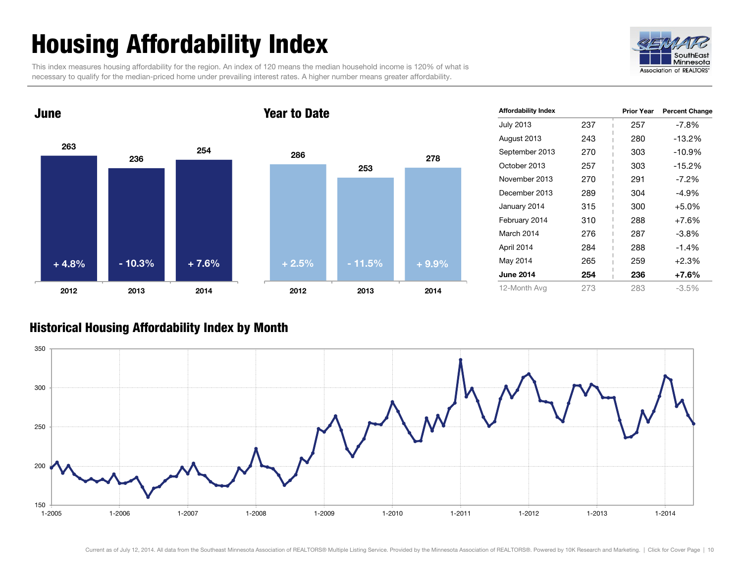## <span id="page-9-0"></span>Housing Affordability Index

This index measures housing affordability for the region. An index of 120 means the median household income is 120% of what is necessary to qualify for the median-priced home under prevailing interest rates. A higher number means greater affordability.





| <b>Affordability Index</b> |     | <b>Prior Year</b> | <b>Percent Change</b> |
|----------------------------|-----|-------------------|-----------------------|
| <b>July 2013</b>           | 237 | 257               | -7.8%                 |
| August 2013                | 243 | 280               | $-13.2%$              |
| September 2013             | 270 | 303               | $-10.9%$              |
| October 2013               | 257 | 303               | $-15.2%$              |
| November 2013              | 270 | 291               | $-7.2\%$              |
| December 2013              | 289 | 304               | $-4.9%$               |
| January 2014               | 315 | 300               | $+5.0%$               |
| February 2014              | 310 | 288               | $+7.6%$               |
| March 2014                 | 276 | 287               | -3.8%                 |
| April 2014                 | 284 | 288               | $-1.4%$               |
| May 2014                   | 265 | 259               | $+2.3%$               |
| <b>June 2014</b>           | 254 | 236               | +7.6%                 |
| 12-Month Avg               | 273 | 283               | -3.5%                 |

#### Historical Housing Affordability Index by Month

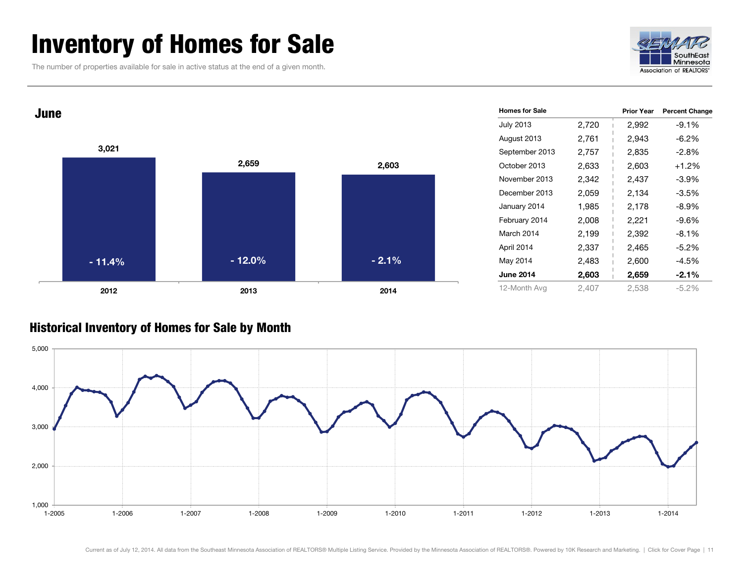### <span id="page-10-0"></span>Inventory of Homes for Sale

The number of properties available for sale in active status at the end of a given month.





#### Historical Inventory of Homes for Sale by Month

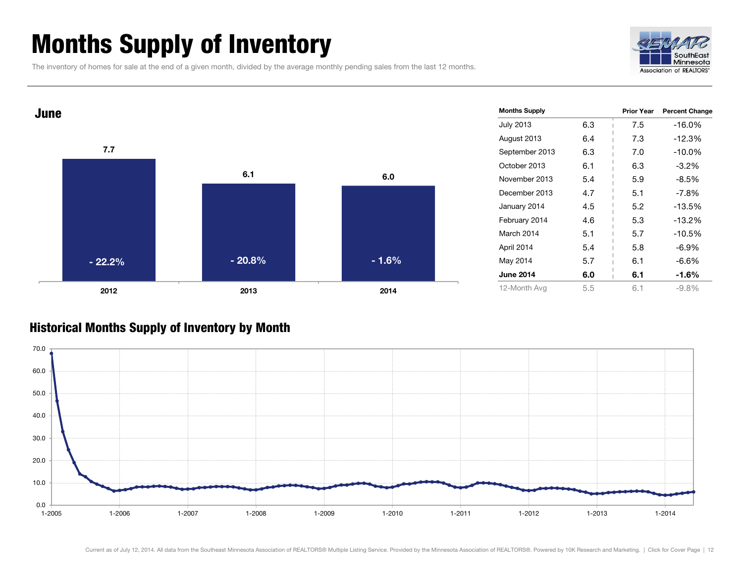### <span id="page-11-0"></span>Months Supply of Inventory

The inventory of homes for sale at the end of a given month, divided by the average monthly pending sales from the last 12 months.





#### Historical Months Supply of Inventory by Month